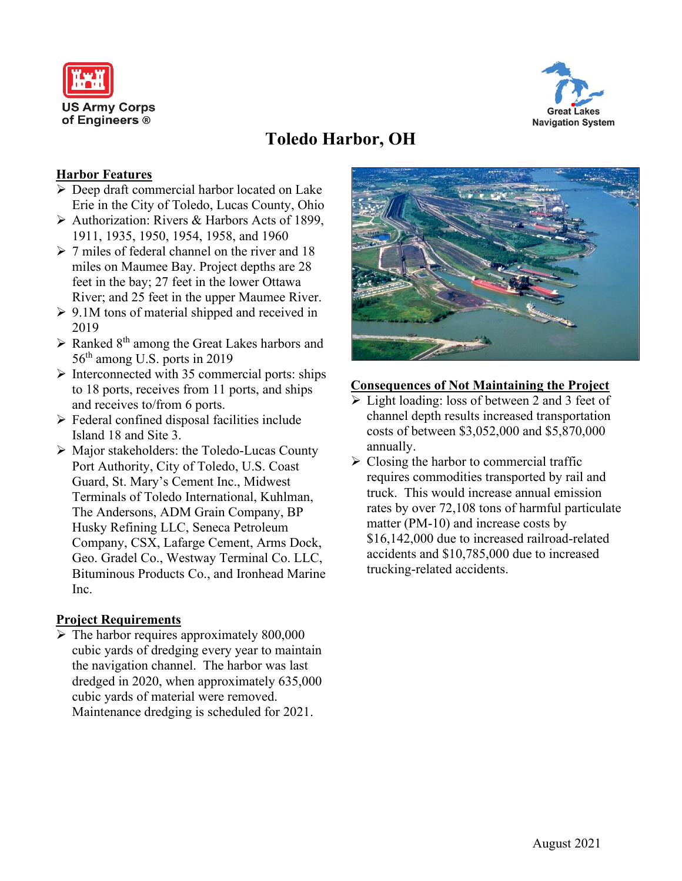



# **Toledo Harbor, OH**

## **Harbor Features**

- Deep draft commercial harbor located on Lake Erie in the City of Toledo, Lucas County, Ohio
- Authorization: Rivers & Harbors Acts of 1899, 1911, 1935, 1950, 1954, 1958, and 1960
- $>$  7 miles of federal channel on the river and 18 miles on Maumee Bay. Project depths are 28 feet in the bay; 27 feet in the lower Ottawa River; and 25 feet in the upper Maumee River.
- $\geq 9.1M$  tons of material shipped and received in 2019
- $\triangleright$  Ranked 8<sup>th</sup> among the Great Lakes harbors and 56th among U.S. ports in 2019
- $\triangleright$  Interconnected with 35 commercial ports: ships to 18 ports, receives from 11 ports, and ships and receives to/from 6 ports.
- $\triangleright$  Federal confined disposal facilities include Island 18 and Site 3.
- Major stakeholders: the Toledo-Lucas County Port Authority, City of Toledo, U.S. Coast Guard, St. Mary's Cement Inc., Midwest Terminals of Toledo International, Kuhlman, The Andersons, ADM Grain Company, BP Husky Refining LLC, Seneca Petroleum Company, CSX, Lafarge Cement, Arms Dock, Geo. Gradel Co., Westway Terminal Co. LLC, Bituminous Products Co., and Ironhead Marine Inc.

### **Project Requirements**

 $\triangleright$  The harbor requires approximately 800,000 cubic yards of dredging every year to maintain the navigation channel. The harbor was last dredged in 2020, when approximately 635,000 cubic yards of material were removed. Maintenance dredging is scheduled for 2021.



### **Consequences of Not Maintaining the Project**

- light loading: loss of between 2 and 3 feet of channel depth results increased transportation costs of between \$3,052,000 and \$5,870,000 annually.
- $\triangleright$  Closing the harbor to commercial traffic requires commodities transported by rail and truck. This would increase annual emission rates by over 72,108 tons of harmful particulate matter (PM-10) and increase costs by \$16,142,000 due to increased railroad-related accidents and \$10,785,000 due to increased trucking-related accidents.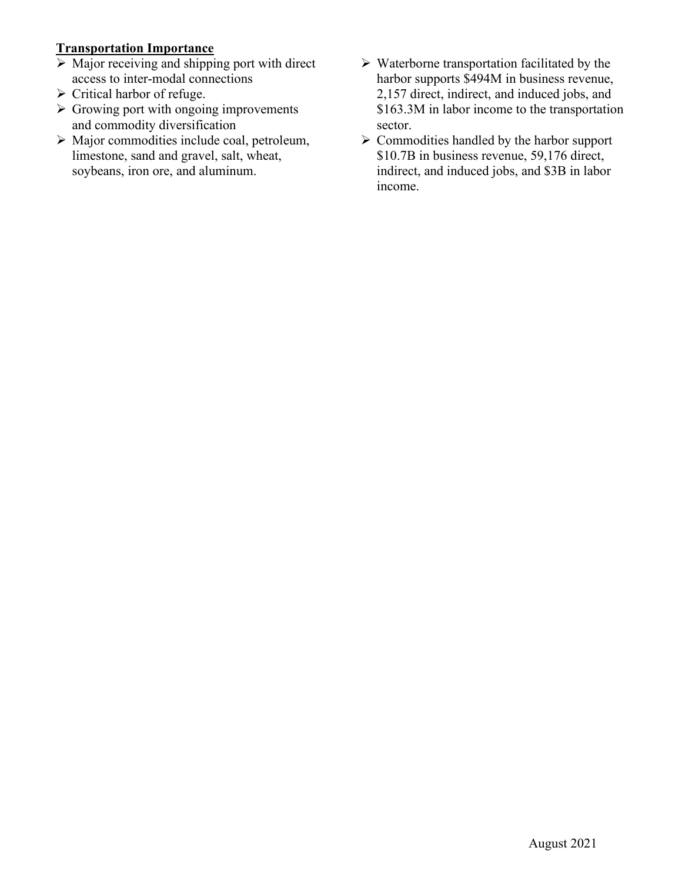# **Transportation Importance**

- $\triangleright$  Major receiving and shipping port with direct access to inter-modal connections
- $\triangleright$  Critical harbor of refuge.
- $\triangleright$  Growing port with ongoing improvements and commodity diversification
- Major commodities include coal, petroleum, limestone, sand and gravel, salt, wheat, soybeans, iron ore, and aluminum.
- $\triangleright$  Waterborne transportation facilitated by the harbor supports \$494M in business revenue, 2,157 direct, indirect, and induced jobs, and \$163.3M in labor income to the transportation sector.
- $\triangleright$  Commodities handled by the harbor support \$10.7B in business revenue, 59,176 direct, indirect, and induced jobs, and \$3B in labor income.